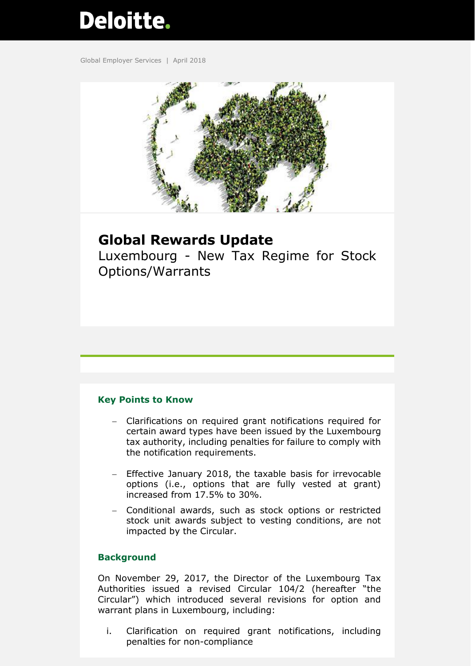# **Deloitte.**

Global Employer Services | April 2018



# **Global Rewards Update**

Luxembourg - New Tax Regime for Stock Options/Warrants

## **Key Points to Know**

- Clarifications on required grant notifications required for certain award types have been issued by the Luxembourg tax authority, including penalties for failure to comply with the notification requirements.
- Effective January 2018, the taxable basis for irrevocable options (i.e., options that are fully vested at grant) increased from 17.5% to 30%.
- Conditional awards, such as stock options or restricted stock unit awards subject to vesting conditions, are not impacted by the Circular.

## **Background**

On November 29, 2017, the Director of the Luxembourg Tax Authorities issued a revised Circular 104/2 (hereafter "the Circular") which introduced several revisions for option and warrant plans in Luxembourg, including:

i. Clarification on required grant notifications, including penalties for non-compliance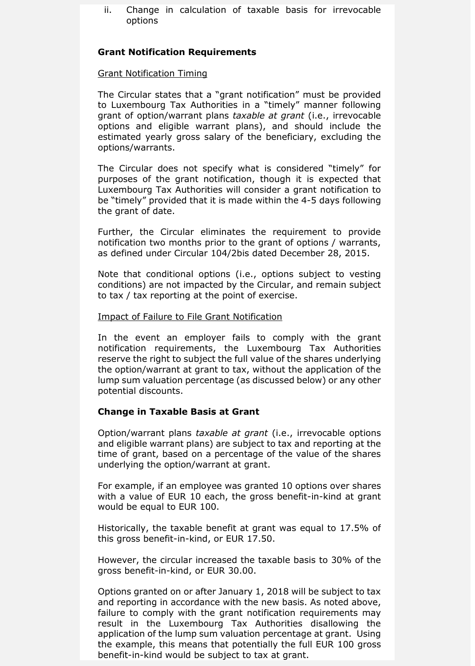ii. Change in calculation of taxable basis for irrevocable options

#### **Grant Notification Requirements**

#### Grant Notification Timing

The Circular states that a "grant notification" must be provided to Luxembourg Tax Authorities in a "timely" manner following grant of option/warrant plans *taxable at grant* (i.e., irrevocable options and eligible warrant plans), and should include the estimated yearly gross salary of the beneficiary, excluding the options/warrants.

The Circular does not specify what is considered "timely" for purposes of the grant notification, though it is expected that Luxembourg Tax Authorities will consider a grant notification to be "timely" provided that it is made within the 4-5 days following the grant of date.

Further, the Circular eliminates the requirement to provide notification two months prior to the grant of options / warrants, as defined under Circular 104/2bis dated December 28, 2015.

Note that conditional options (i.e., options subject to vesting conditions) are not impacted by the Circular, and remain subject to tax / tax reporting at the point of exercise.

#### Impact of Failure to File Grant Notification

In the event an employer fails to comply with the grant notification requirements, the Luxembourg Tax Authorities reserve the right to subject the full value of the shares underlying the option/warrant at grant to tax, without the application of the lump sum valuation percentage (as discussed below) or any other potential discounts.

## **Change in Taxable Basis at Grant**

Option/warrant plans *taxable at grant* (i.e., irrevocable options and eligible warrant plans) are subject to tax and reporting at the time of grant, based on a percentage of the value of the shares underlying the option/warrant at grant.

For example, if an employee was granted 10 options over shares with a value of EUR 10 each, the gross benefit-in-kind at grant would be equal to EUR 100.

Historically, the taxable benefit at grant was equal to 17.5% of this gross benefit-in-kind, or EUR 17.50.

However, the circular increased the taxable basis to 30% of the gross benefit-in-kind, or EUR 30.00.

Options granted on or after January 1, 2018 will be subject to tax and reporting in accordance with the new basis. As noted above, failure to comply with the grant notification requirements may result in the Luxembourg Tax Authorities disallowing the application of the lump sum valuation percentage at grant. Using the example, this means that potentially the full EUR 100 gross benefit-in-kind would be subject to tax at grant.